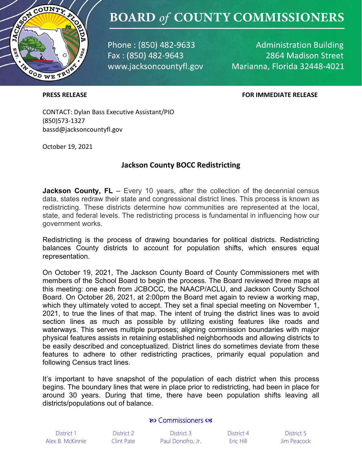

### **BOARD of COUNTY COMMISSIONERS**

Phone: (850) 482-9633 Fax: (850) 482-9643 www.jacksoncountyfl.gov

**Administration Building** 2864 Madison Street Marianna, Florida 32448-4021

#### **PRESS RELEASE FOR IMMEDIATE RELEASE**

CONTACT: Dylan Bass Executive Assistant/PIO (850)573-1327 bassd@jacksoncountyfl.gov

October 19, 2021

### **Jackson County BOCC Redistricting**

**Jackson County, FL** – Every 10 years, after the collection of the decennial census data, states redraw their state and congressional district lines. This process is known as redistricting. These districts determine how communities are represented at the local, state, and federal levels. The redistricting process is fundamental in influencing how our government works.

Redistricting is the process of drawing boundaries for political districts. Redistricting balances County districts to account for population shifts, which ensures equal representation.

On October 19, 2021, The Jackson County Board of County Commissioners met with members of the School Board to begin the process. The Board reviewed three maps at this meeting: one each from JCBOCC, the NAACP/ACLU, and Jackson County School Board. On October 26, 2021, at 2:00pm the Board met again to review a working map, which they ultimately voted to accept. They set a final special meeting on November 1, 2021, to true the lines of that map. The intent of truing the district lines was to avoid section lines as much as possible by utilizing existing features like roads and waterways. This serves multiple purposes; aligning commission boundaries with major physical features assists in retaining established neighborhoods and allowing districts to be easily described and conceptualized. District lines do sometimes deviate from these features to adhere to other redistricting practices, primarily equal population and following Census tract lines.

It's important to have snapshot of the population of each district when this process begins. The boundary lines that were in place prior to redistricting, had been in place for around 30 years. During that time, there have been population shifts leaving all districts/populations out of balance.

#### **RO** Commissioners os

| District 1 |                  |  |  |  |
|------------|------------------|--|--|--|
|            | Alex B. McKinnie |  |  |  |

District 1 District 2 District 3 District 4 District 5 Alex B. McKinnie Clint Pate Paul Donofro, Jr. Eric Hill Jim Peacock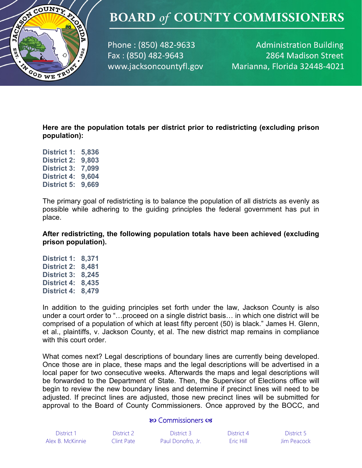

# **BOARD of COUNTY COMMISSIONERS**

Phone: (850) 482-9633 Fax: (850) 482-9643 www.jacksoncountyfl.gov

**Administration Building** 2864 Madison Street Marianna, Florida 32448-4021

**Here are the population totals per district prior to redistricting (excluding prison population):** 

**District 1: 5,836 District 2: 9,803 District 3: 7,099 District 4: 9,604 District 5: 9,669**

The primary goal of redistricting is to balance the population of all districts as evenly as possible while adhering to the guiding principles the federal government has put in place.

**After redistricting, the following population totals have been achieved (excluding prison population).** 

**District 1: 8,371 District 2: 8,481 District 3: 8,245 District 4: 8,435 District 4: 8,479**

In addition to the guiding principles set forth under the law, Jackson County is also under a court order to "…proceed on a single district basis… in which one district will be comprised of a population of which at least fifty percent (50) is black." James H. Glenn, et al., plaintiffs, v. Jackson County, et al. The new district map remains in compliance with this court order.

What comes next? Legal descriptions of boundary lines are currently being developed. Once those are in place, these maps and the legal descriptions will be advertised in a local paper for two consecutive weeks. Afterwards the maps and legal descriptions will be forwarded to the Department of State. Then, the Supervisor of Elections office will begin to review the new boundary lines and determine if precinct lines will need to be adjusted. If precinct lines are adjusted, those new precinct lines will be submitted for approval to the Board of County Commissioners. Once approved by the BOCC, and

#### **RO** Commissioners os

| District 1       | District 2 | District 3        | District 4 | District 5  |
|------------------|------------|-------------------|------------|-------------|
| Alex B. McKinnie | Clint Pate | Paul Donofro, Jr. | Eric Hill  | Jim Peacock |